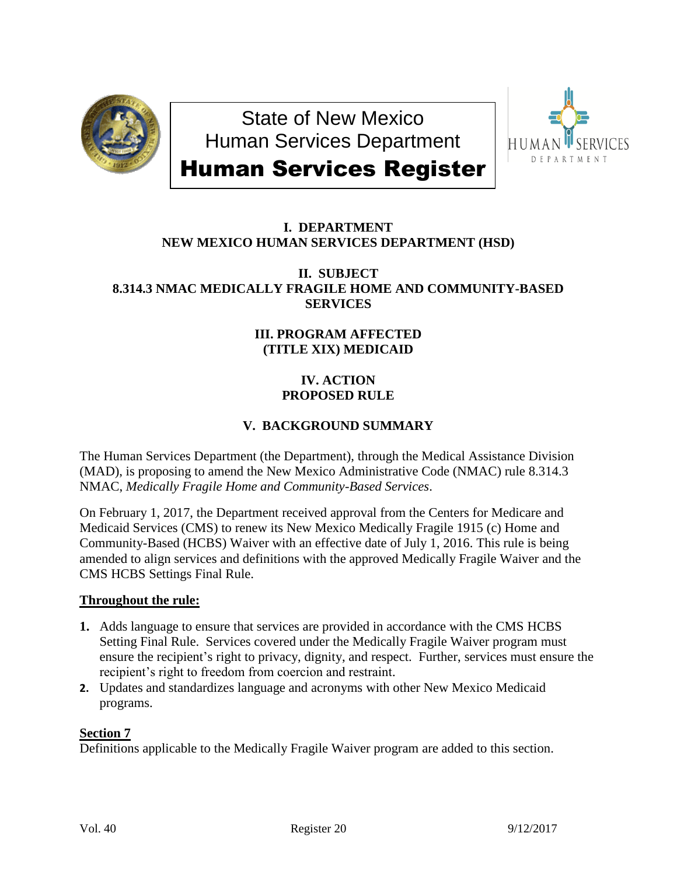

State of New Mexico Human Services Department



# Human Services Register

## **I. DEPARTMENT NEW MEXICO HUMAN SERVICES DEPARTMENT (HSD)**

### **II. SUBJECT 8.314.3 NMAC MEDICALLY FRAGILE HOME AND COMMUNITY-BASED SERVICES**

## **III. PROGRAM AFFECTED (TITLE XIX) MEDICAID**

## **IV. ACTION PROPOSED RULE**

# **V. BACKGROUND SUMMARY**

The Human Services Department (the Department), through the Medical Assistance Division (MAD), is proposing to amend the New Mexico Administrative Code (NMAC) rule 8.314.3 NMAC, *Medically Fragile Home and Community-Based Services*.

On February 1, 2017, the Department received approval from the Centers for Medicare and Medicaid Services (CMS) to renew its New Mexico Medically Fragile 1915 (c) Home and Community-Based (HCBS) Waiver with an effective date of July 1, 2016. This rule is being amended to align services and definitions with the approved Medically Fragile Waiver and the CMS HCBS Settings Final Rule.

### **Throughout the rule:**

- **1.** Adds language to ensure that services are provided in accordance with the CMS HCBS Setting Final Rule. Services covered under the Medically Fragile Waiver program must ensure the recipient's right to privacy, dignity, and respect. Further, services must ensure the recipient's right to freedom from coercion and restraint.
- **2.** Updates and standardizes language and acronyms with other New Mexico Medicaid programs.

### **Section 7**

Definitions applicable to the Medically Fragile Waiver program are added to this section.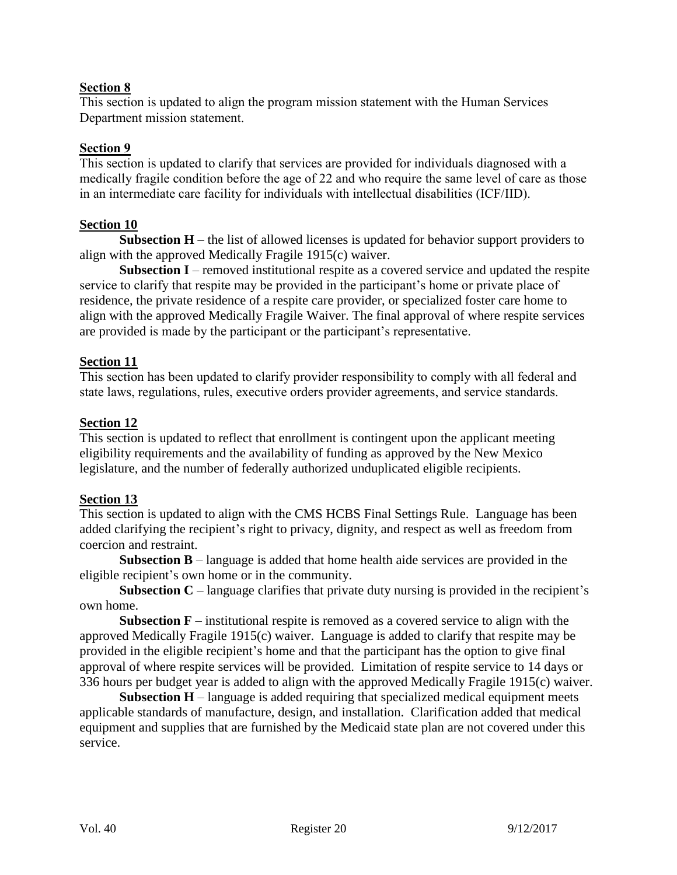### **Section 8**

This section is updated to align the program mission statement with the Human Services Department mission statement.

#### **Section 9**

This section is updated to clarify that services are provided for individuals diagnosed with a medically fragile condition before the age of 22 and who require the same level of care as those in an intermediate care facility for individuals with intellectual disabilities (ICF/IID).

#### **Section 10**

**Subsection H** – the list of allowed licenses is updated for behavior support providers to align with the approved Medically Fragile 1915(c) waiver.

**Subsection I** – removed institutional respite as a covered service and updated the respite service to clarify that respite may be provided in the participant's home or private place of residence, the private residence of a respite care provider, or specialized foster care home to align with the approved Medically Fragile Waiver. The final approval of where respite services are provided is made by the participant or the participant's representative.

#### **Section 11**

This section has been updated to clarify provider responsibility to comply with all federal and state laws, regulations, rules, executive orders provider agreements, and service standards.

#### **Section 12**

This section is updated to reflect that enrollment is contingent upon the applicant meeting eligibility requirements and the availability of funding as approved by the New Mexico legislature, and the number of federally authorized unduplicated eligible recipients.

#### **Section 13**

This section is updated to align with the CMS HCBS Final Settings Rule. Language has been added clarifying the recipient's right to privacy, dignity, and respect as well as freedom from coercion and restraint.

**Subsection B** – language is added that home health aide services are provided in the eligible recipient's own home or in the community.

**Subsection C** – language clarifies that private duty nursing is provided in the recipient's own home.

**Subsection F** – institutional respite is removed as a covered service to align with the approved Medically Fragile 1915(c) waiver. Language is added to clarify that respite may be provided in the eligible recipient's home and that the participant has the option to give final approval of where respite services will be provided. Limitation of respite service to 14 days or 336 hours per budget year is added to align with the approved Medically Fragile 1915(c) waiver.

**Subsection H** – language is added requiring that specialized medical equipment meets applicable standards of manufacture, design, and installation. Clarification added that medical equipment and supplies that are furnished by the Medicaid state plan are not covered under this service.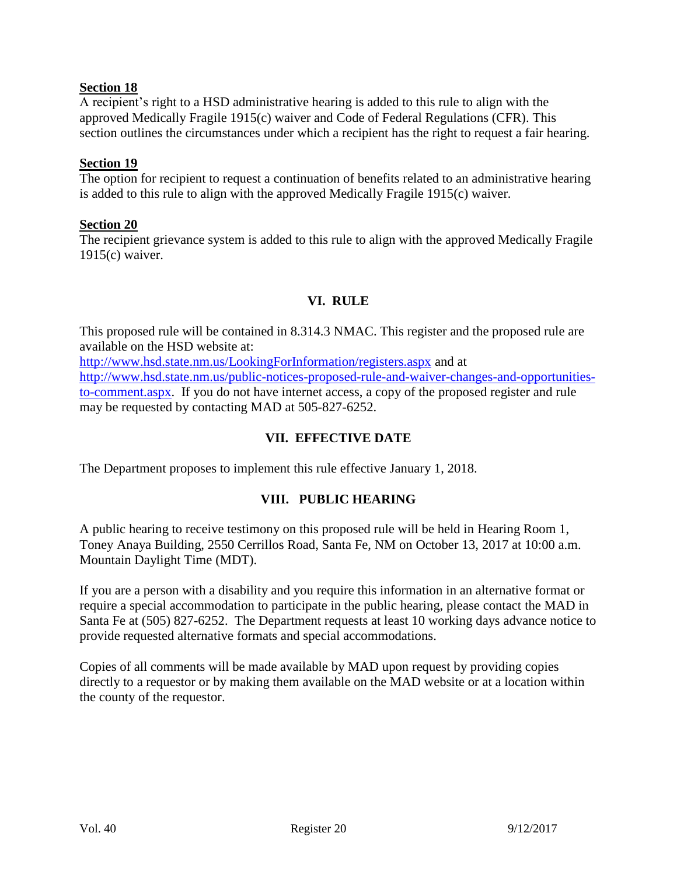#### **Section 18**

A recipient's right to a HSD administrative hearing is added to this rule to align with the approved Medically Fragile 1915(c) waiver and Code of Federal Regulations (CFR). This section outlines the circumstances under which a recipient has the right to request a fair hearing.

#### **Section 19**

The option for recipient to request a continuation of benefits related to an administrative hearing is added to this rule to align with the approved Medically Fragile 1915(c) waiver.

#### **Section 20**

The recipient grievance system is added to this rule to align with the approved Medically Fragile 1915(c) waiver.

### **VI. RULE**

This proposed rule will be contained in 8.314.3 NMAC. This register and the proposed rule are available on the HSD website at:

<http://www.hsd.state.nm.us/LookingForInformation/registers.aspx> and at [http://www.hsd.state.nm.us/public-notices-proposed-rule-and-waiver-changes-and-opportunities](http://www.hsd.state.nm.us/public-notices-proposed-rule-and-waiver-changes-and-opportunities-to-comment.aspx)[to-comment.aspx.](http://www.hsd.state.nm.us/public-notices-proposed-rule-and-waiver-changes-and-opportunities-to-comment.aspx) If you do not have internet access, a copy of the proposed register and rule may be requested by contacting MAD at 505-827-6252.

### **VII. EFFECTIVE DATE**

The Department proposes to implement this rule effective January 1, 2018.

### **VIII. PUBLIC HEARING**

A public hearing to receive testimony on this proposed rule will be held in Hearing Room 1, Toney Anaya Building, 2550 Cerrillos Road, Santa Fe, NM on October 13, 2017 at 10:00 a.m. Mountain Daylight Time (MDT).

If you are a person with a disability and you require this information in an alternative format or require a special accommodation to participate in the public hearing, please contact the MAD in Santa Fe at (505) 827-6252. The Department requests at least 10 working days advance notice to provide requested alternative formats and special accommodations.

Copies of all comments will be made available by MAD upon request by providing copies directly to a requestor or by making them available on the MAD website or at a location within the county of the requestor.